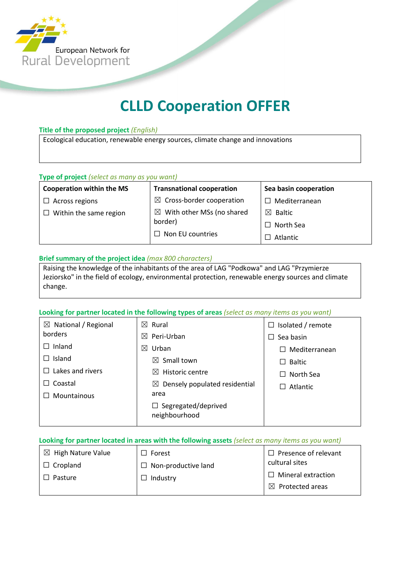

# CLLD Cooperation OFFER

### Title of the proposed project (English)

Ecological education, renewable energy sources, climate change and innovations

### Type of project (select as many as you want)

Cooperation within the MS □ Across regions

 $\Box$  Within the same region

| $\boxtimes$ Cross-border cooperation  |
|---------------------------------------|
| $\boxtimes$ With other MSs (no shared |
| border)                               |
| $\Box$ Non EU countries               |

Transnational cooperation

Sea basin cooperation

☐ Mediterranean

☒ Baltic

☐ North Sea □ Atlantic

### Brief summary of the project idea (max 800 characters)

Raising the knowledge of the inhabitants of the area of LAG "Podkowa" and LAG "Przymierze Jeziorsko" in the field of ecology, environmental protection, renewable energy sources and climate change.

### Looking for partner located in the following types of areas (select as many items as you want)

| $\boxtimes$ National / Regional | $\boxtimes$ Rural                         | $\Box$ Isolated / remote  |
|---------------------------------|-------------------------------------------|---------------------------|
| borders                         | Peri-Urban<br>$\bowtie$                   | Sea basin<br>$\mathsf{L}$ |
| Inland                          | Urban<br>$\boxtimes$                      | Mediterranean             |
| Island                          | Small town<br>$\bowtie$                   | <b>Baltic</b>             |
| Lakes and rivers                | Historic centre<br>M                      | North Sea                 |
| Coastal                         | $\boxtimes$ Densely populated residential | Atlantic                  |
| <b>Mountainous</b>              | area                                      |                           |
|                                 | Segregated/deprived<br>ப<br>neighbourhood |                           |

### Looking for partner located in areas with the following assets (select as many items as you want)

| $\boxtimes$ High Nature Value | $\Box$ Forest              | $\Box$ Presence of relevant |
|-------------------------------|----------------------------|-----------------------------|
| Cropland                      | $\Box$ Non-productive land | cultural sites              |
| Pasture                       | Industry                   | $\Box$ Mineral extraction   |
|                               |                            | $\boxtimes$ Protected areas |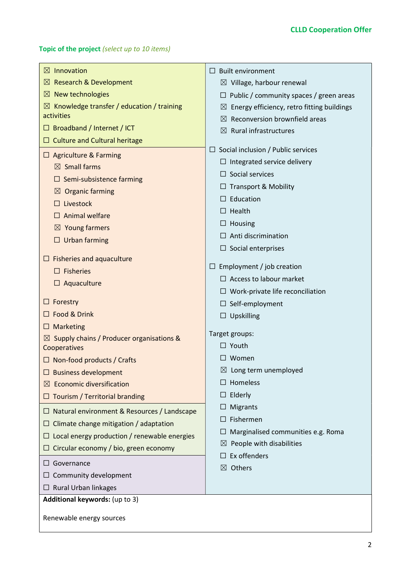### Topic of the project (select up to 10 items)

| $\boxtimes$ Innovation                                | <b>Built environment</b><br>$\Box$                        |  |  |
|-------------------------------------------------------|-----------------------------------------------------------|--|--|
| $\boxtimes$ Research & Development                    | $\boxtimes$ Village, harbour renewal                      |  |  |
| $\boxtimes$ New technologies                          | $\Box$ Public / community spaces / green areas            |  |  |
| $\boxtimes$ Knowledge transfer / education / training | Energy efficiency, retro fitting buildings<br>$\boxtimes$ |  |  |
| activities                                            | Reconversion brownfield areas<br>$\bowtie$                |  |  |
| $\Box$ Broadband / Internet / ICT                     | $\boxtimes$ Rural infrastructures                         |  |  |
| $\Box$ Culture and Cultural heritage                  |                                                           |  |  |
| $\Box$ Agriculture & Farming                          | Social inclusion / Public services<br>⊔                   |  |  |
| $\boxtimes$ Small farms                               | Integrated service delivery                               |  |  |
| Semi-subsistence farming                              | Social services                                           |  |  |
| <b>Organic farming</b><br>$\boxtimes$                 | <b>Transport &amp; Mobility</b>                           |  |  |
| Livestock                                             | Education                                                 |  |  |
| Animal welfare                                        | Health                                                    |  |  |
| $\boxtimes$ Young farmers                             | Housing                                                   |  |  |
| $\Box$ Urban farming                                  | Anti discrimination                                       |  |  |
|                                                       | $\Box$ Social enterprises                                 |  |  |
| $\Box$ Fisheries and aquaculture                      | Employment / job creation                                 |  |  |
| <b>Fisheries</b><br>$\Box$                            | $\Box$ Access to labour market                            |  |  |
| $\Box$ Aquaculture                                    |                                                           |  |  |
| $\Box$ Forestry                                       | $\Box$ Work-private life reconciliation                   |  |  |
| □ Food & Drink                                        | Self-employment<br>$\Box$<br>$\Box$                       |  |  |
| $\Box$ Marketing                                      | Upskilling                                                |  |  |
| $\boxtimes$ Supply chains / Producer organisations &  | Target groups:                                            |  |  |
| Cooperatives                                          | $\Box$ Youth                                              |  |  |
| $\Box$ Non-food products / Crafts                     | Women                                                     |  |  |
| $\Box$ Business development                           | $\boxtimes$ Long term unemployed                          |  |  |
| $\boxtimes$ Economic diversification                  | Homeless                                                  |  |  |
| $\Box$ Tourism / Territorial branding                 | Elderly<br>$\Box$                                         |  |  |
| $\Box$ Natural environment & Resources / Landscape    | Migrants                                                  |  |  |
| $\Box$ Climate change mitigation / adaptation         | Fishermen                                                 |  |  |
| $\Box$ Local energy production / renewable energies   | Marginalised communities e.g. Roma                        |  |  |
| $\Box$ Circular economy / bio, green economy          | People with disabilities<br>$\boxtimes$                   |  |  |
| $\Box$ Governance                                     | Ex offenders                                              |  |  |
| $\Box$ Community development                          | Others<br>$\bowtie$                                       |  |  |
| $\Box$ Rural Urban linkages                           |                                                           |  |  |
| Additional keywords: (up to 3)                        |                                                           |  |  |
| Renewable energy sources                              |                                                           |  |  |
|                                                       |                                                           |  |  |